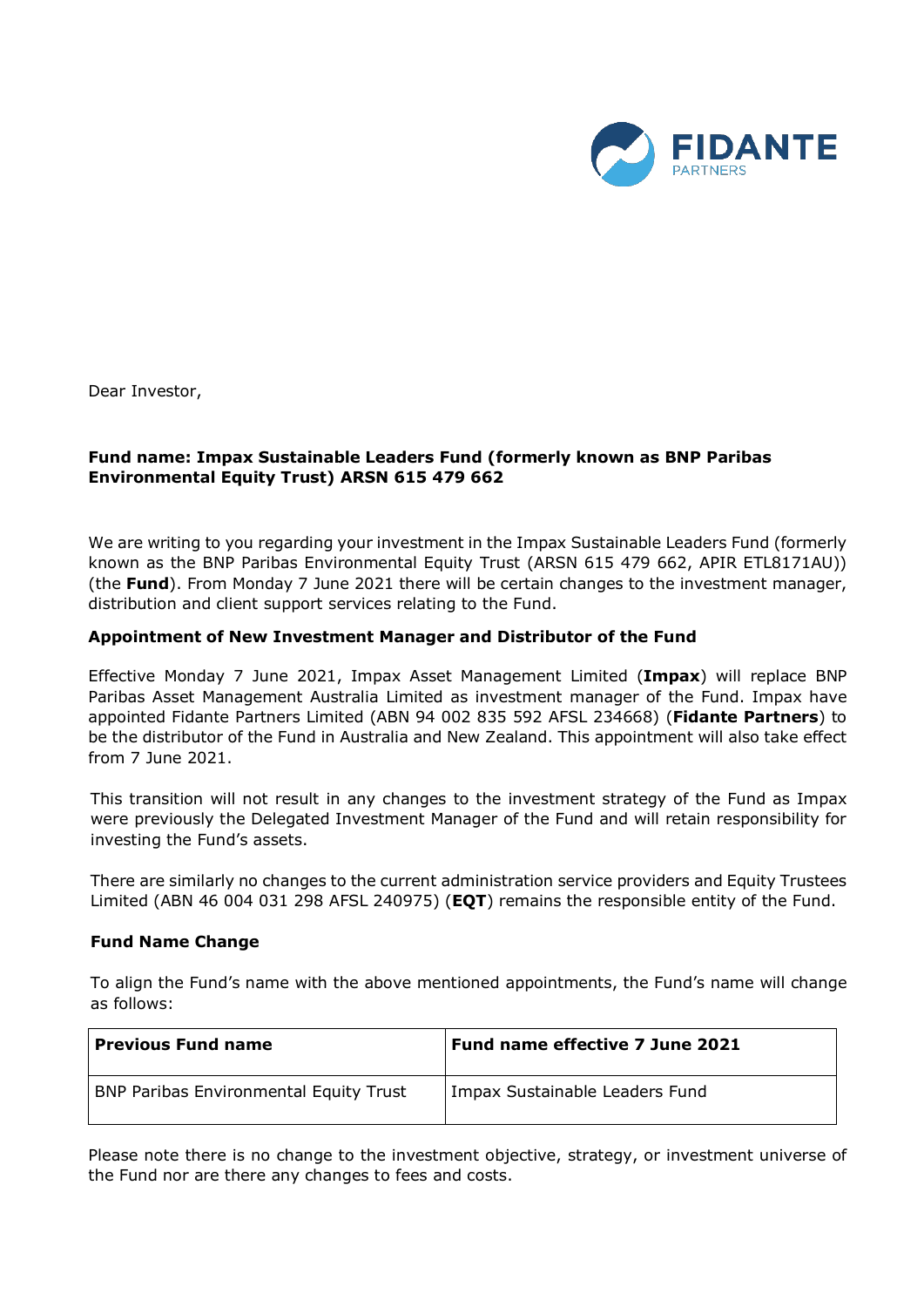

Dear Investor,

# **Fund name: Impax Sustainable Leaders Fund (formerly known as BNP Paribas Environmental Equity Trust) ARSN 615 479 662**

We are writing to you regarding your investment in the Impax Sustainable Leaders Fund (formerly known as the BNP Paribas Environmental Equity Trust (ARSN 615 479 662, APIR ETL8171AU)) (the **Fund**). From Monday 7 June 2021 there will be certain changes to the investment manager, distribution and client support services relating to the Fund.

#### **Appointment of New Investment Manager and Distributor of the Fund**

Effective Monday 7 June 2021, Impax Asset Management Limited (**Impax**) will replace BNP Paribas Asset Management Australia Limited as investment manager of the Fund. Impax have appointed Fidante Partners Limited (ABN 94 002 835 592 AFSL 234668) (**Fidante Partners**) to be the distributor of the Fund in Australia and New Zealand. This appointment will also take effect from 7 June 2021.

This transition will not result in any changes to the investment strategy of the Fund as Impax were previously the Delegated Investment Manager of the Fund and will retain responsibility for investing the Fund's assets.

There are similarly no changes to the current administration service providers and Equity Trustees Limited (ABN 46 004 031 298 AFSL 240975) (**EQT**) remains the responsible entity of the Fund.

#### **Fund Name Change**

To align the Fund's name with the above mentioned appointments, the Fund's name will change as follows:

| <b>Previous Fund name</b>                     | Fund name effective 7 June 2021 |
|-----------------------------------------------|---------------------------------|
| <b>BNP Paribas Environmental Equity Trust</b> | Impax Sustainable Leaders Fund  |

Please note there is no change to the investment objective, strategy, or investment universe of the Fund nor are there any changes to fees and costs.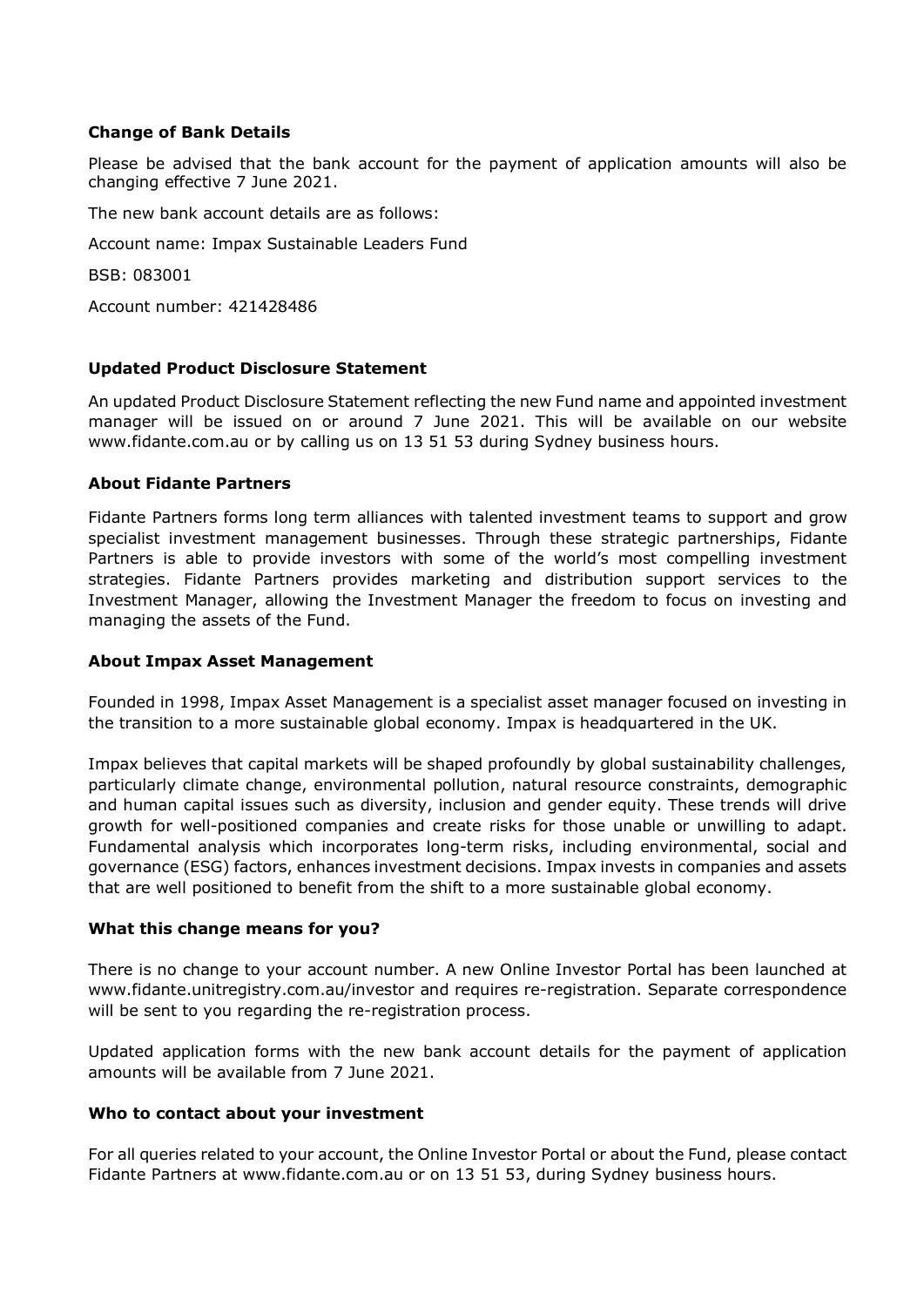## **Change of Bank Details**

Please be advised that the bank account for the payment of application amounts will also be changing effective 7 June 2021.

The new bank account details are as follows:

Account name: Impax Sustainable Leaders Fund

BSB: 083001

Account number: 421428486

## **Updated Product Disclosure Statement**

An updated Product Disclosure Statement reflecting the new Fund name and appointed investment manager will be issued on or around 7 June 2021. This will be available on our website [www.fidante.com.au](http://www.fidante.com.au/) or by calling us on 13 51 53 during Sydney business hours.

#### **About Fidante Partners**

Fidante Partners forms long term alliances with talented investment teams to support and grow specialist investment management businesses. Through these strategic partnerships, Fidante Partners is able to provide investors with some of the world's most compelling investment strategies. Fidante Partners provides marketing and distribution support services to the Investment Manager, allowing the Investment Manager the freedom to focus on investing and managing the assets of the Fund.

### **About Impax Asset Management**

Founded in 1998, Impax Asset Management is a specialist asset manager focused on investing in the transition to a more sustainable global economy. Impax is headquartered in the UK.

Impax believes that capital markets will be shaped profoundly by global sustainability challenges, particularly climate change, environmental pollution, natural resource constraints, demographic and human capital issues such as diversity, inclusion and gender equity. These trends will drive growth for well-positioned companies and create risks for those unable or unwilling to adapt. Fundamental analysis which incorporates long-term risks, including environmental, social and governance (ESG) factors, enhances investment decisions. Impax invests in companies and assets that are well positioned to benefit from the shift to a more sustainable global economy.

#### **What this change means for you?**

There is no change to your account number. A new Online Investor Portal has been launched at www.fidante.unitregistry.com.au/investor and requires re-registration. Separate correspondence will be sent to you regarding the re-registration process.

Updated application forms with the new bank account details for the payment of application amounts will be available from 7 June 2021.

#### **Who to contact about your investment**

For all queries related to your account, the Online Investor Portal or about the Fund, please contact Fidante Partners at www.fidante.com.au or on 13 51 53, during Sydney business hours.